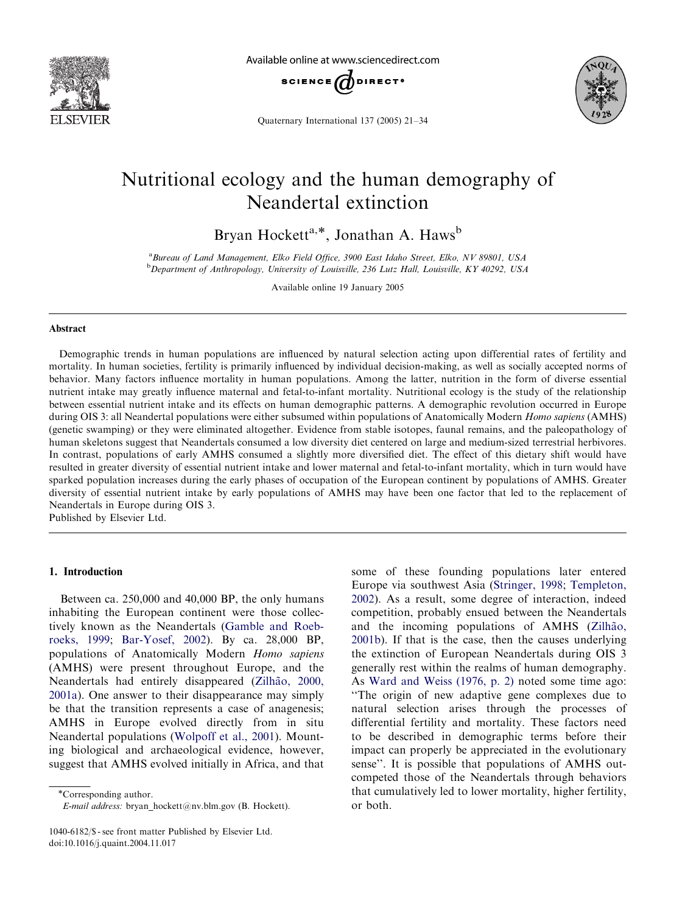

Available online at www.sciencedirect.com



Quaternary International 137 (2005) 21–34



# Nutritional ecology and the human demography of Neandertal extinction

Bryan Hockett<sup>a,\*</sup>, Jonathan A. Haws<sup>b</sup>

<sup>a</sup> Bureau of Land Management, Elko Field Office, 3900 East Idaho Street, Elko, NV 89801, USA <sup>b</sup>Department of Anthropology, University of Louisville, 236 Lutz Hall, Louisville, KY 40292, USA

Available online 19 January 2005

### Abstract

Demographic trends in human populations are influenced by natural selection acting upon differential rates of fertility and mortality. In human societies, fertility is primarily influenced by individual decision-making, as well as socially accepted norms of behavior. Many factors influence mortality in human populations. Among the latter, nutrition in the form of diverse essential nutrient intake may greatly influence maternal and fetal-to-infant mortality. Nutritional ecology is the study of the relationship between essential nutrient intake and its effects on human demographic patterns. A demographic revolution occurred in Europe during OIS 3: all Neandertal populations were either subsumed within populations of Anatomically Modern Homo sapiens (AMHS) (genetic swamping) or they were eliminated altogether. Evidence from stable isotopes, faunal remains, and the paleopathology of human skeletons suggest that Neandertals consumed a low diversity diet centered on large and medium-sized terrestrial herbivores. In contrast, populations of early AMHS consumed a slightly more diversified diet. The effect of this dietary shift would have resulted in greater diversity of essential nutrient intake and lower maternal and fetal-to-infant mortality, which in turn would have sparked population increases during the early phases of occupation of the European continent by populations of AMHS. Greater diversity of essential nutrient intake by early populations of AMHS may have been one factor that led to the replacement of Neandertals in Europe during OIS 3.

Published by Elsevier Ltd.

### 1. Introduction

Between ca. 250,000 and 40,000 BP, the only humans inhabiting the European continent were those collectively known as the Neandertals ([Gamble and Roeb](#page-11-0)[roeks, 1999;](#page-11-0) [Bar-Yosef, 2002](#page-10-0)). By ca. 28,000 BP, populations of Anatomically Modern Homo sapiens (AMHS) were present throughout Europe, and the Neandertals had entirely disappeared (Zilhão, 2000, [2001a](#page-13-0)). One answer to their disappearance may simply be that the transition represents a case of anagenesis; AMHS in Europe evolved directly from in situ Neandertal populations ([Wolpoff et al., 2001\)](#page-13-0). Mounting biological and archaeological evidence, however, suggest that AMHS evolved initially in Africa, and that

Corresponding author. E-mail address: bryan\_hockett@nv.blm.gov (B. Hockett).

1040-6182/\$ - see front matter Published by Elsevier Ltd. doi:10.1016/j.quaint.2004.11.017

some of these founding populations later entered Europe via southwest Asia [\(Stringer, 1998](#page-12-0); [Templeton,](#page-13-0) [2002](#page-13-0)). As a result, some degree of interaction, indeed competition, probably ensued between the Neandertals and the incoming populations of AMHS (Zilhão, [2001b](#page-13-0)). If that is the case, then the causes underlying the extinction of European Neandertals during OIS 3 generally rest within the realms of human demography. As [Ward and Weiss \(1976, p. 2\)](#page-13-0) noted some time ago: ''The origin of new adaptive gene complexes due to natural selection arises through the processes of differential fertility and mortality. These factors need to be described in demographic terms before their impact can properly be appreciated in the evolutionary sense''. It is possible that populations of AMHS outcompeted those of the Neandertals through behaviors that cumulatively led to lower mortality, higher fertility, or both.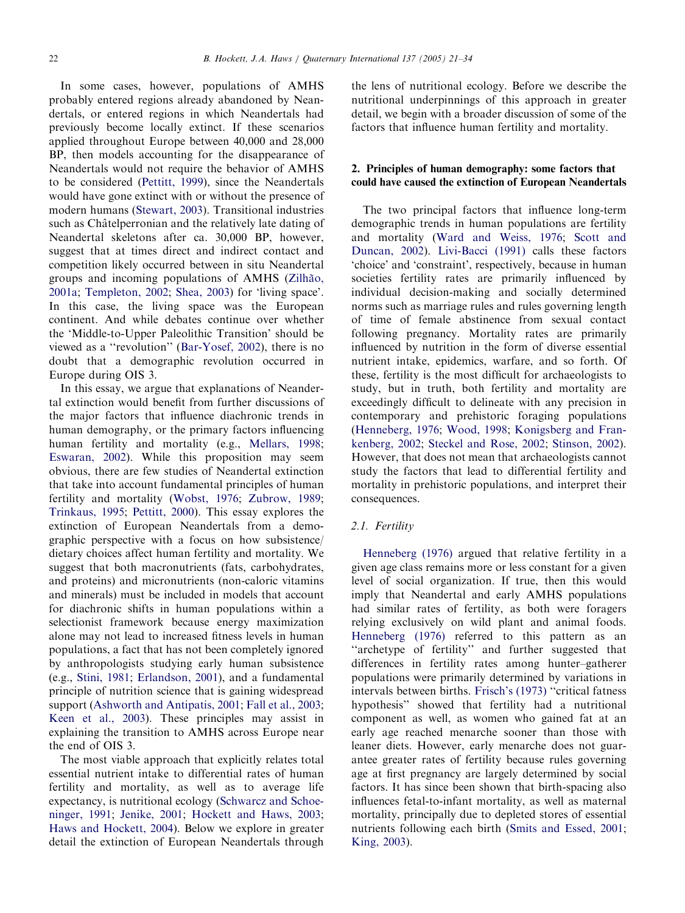In some cases, however, populations of AMHS probably entered regions already abandoned by Neandertals, or entered regions in which Neandertals had previously become locally extinct. If these scenarios applied throughout Europe between 40,000 and 28,000 BP, then models accounting for the disappearance of Neandertals would not require the behavior of AMHS to be considered [\(Pettitt, 1999\)](#page-12-0), since the Neandertals would have gone extinct with or without the presence of modern humans [\(Stewart, 2003](#page-12-0)). Transitional industries such as Châtelperronian and the relatively late dating of Neandertal skeletons after ca. 30,000 BP, however, suggest that at times direct and indirect contact and competition likely occurred between in situ Neandertal groups and incoming populations of AMHS (Zilhão, [2001a](#page-13-0); [Templeton, 2002](#page-13-0); [Shea, 2003\)](#page-12-0) for 'living space'. In this case, the living space was the European continent. And while debates continue over whether the 'Middle-to-Upper Paleolithic Transition' should be viewed as a ''revolution'' ([Bar-Yosef, 2002\)](#page-10-0), there is no doubt that a demographic revolution occurred in Europe during OIS 3.

In this essay, we argue that explanations of Neandertal extinction would benefit from further discussions of the major factors that influence diachronic trends in human demography, or the primary factors influencing human fertility and mortality (e.g., [Mellars, 1998;](#page-11-0) [Eswaran, 2002\)](#page-11-0). While this proposition may seem obvious, there are few studies of Neandertal extinction that take into account fundamental principles of human fertility and mortality ([Wobst, 1976](#page-13-0); [Zubrow, 1989;](#page-13-0) [Trinkaus, 1995](#page-13-0); [Pettitt, 2000\)](#page-12-0). This essay explores the extinction of European Neandertals from a demographic perspective with a focus on how subsistence/ dietary choices affect human fertility and mortality. We suggest that both macronutrients (fats, carbohydrates, and proteins) and micronutrients (non-caloric vitamins and minerals) must be included in models that account for diachronic shifts in human populations within a selectionist framework because energy maximization alone may not lead to increased fitness levels in human populations, a fact that has not been completely ignored by anthropologists studying early human subsistence (e.g., [Stini, 1981;](#page-12-0) [Erlandson, 2001\)](#page-11-0), and a fundamental principle of nutrition science that is gaining widespread support [\(Ashworth and Antipatis, 2001](#page-10-0); [Fall et al., 2003;](#page-11-0) [Keen et al., 2003](#page-11-0)). These principles may assist in explaining the transition to AMHS across Europe near the end of OIS 3.

The most viable approach that explicitly relates total essential nutrient intake to differential rates of human fertility and mortality, as well as to average life expectancy, is nutritional ecology [\(Schwarcz and Schoe](#page-12-0)[ninger, 1991](#page-12-0); [Jenike, 2001](#page-11-0); [Hockett and Haws, 2003;](#page-11-0) [Haws and Hockett, 2004\)](#page-11-0). Below we explore in greater detail the extinction of European Neandertals through

the lens of nutritional ecology. Before we describe the nutritional underpinnings of this approach in greater detail, we begin with a broader discussion of some of the factors that influence human fertility and mortality.

# 2. Principles of human demography: some factors that could have caused the extinction of European Neandertals

The two principal factors that influence long-term demographic trends in human populations are fertility and mortality [\(Ward and Weiss, 1976](#page-13-0); [Scott and](#page-12-0) [Duncan, 2002](#page-12-0)). [Livi-Bacci \(1991\)](#page-11-0) calls these factors 'choice' and 'constraint', respectively, because in human societies fertility rates are primarily influenced by individual decision-making and socially determined norms such as marriage rules and rules governing length of time of female abstinence from sexual contact following pregnancy. Mortality rates are primarily influenced by nutrition in the form of diverse essential nutrient intake, epidemics, warfare, and so forth. Of these, fertility is the most difficult for archaeologists to study, but in truth, both fertility and mortality are exceedingly difficult to delineate with any precision in contemporary and prehistoric foraging populations ([Henneberg, 1976;](#page-11-0) [Wood, 1998](#page-13-0); [Konigsberg and Fran](#page-11-0)[kenberg, 2002](#page-11-0); [Steckel and Rose, 2002;](#page-12-0) [Stinson, 2002\)](#page-12-0). However, that does not mean that archaeologists cannot study the factors that lead to differential fertility and mortality in prehistoric populations, and interpret their consequences.

### 2.1. Fertility

[Henneberg \(1976\)](#page-11-0) argued that relative fertility in a given age class remains more or less constant for a given level of social organization. If true, then this would imply that Neandertal and early AMHS populations had similar rates of fertility, as both were foragers relying exclusively on wild plant and animal foods. [Henneberg \(1976\)](#page-11-0) referred to this pattern as an "archetype of fertility" and further suggested that differences in fertility rates among hunter–gatherer populations were primarily determined by variations in intervals between births. [Frisch's \(1973\)](#page-11-0) ''critical fatness hypothesis'' showed that fertility had a nutritional component as well, as women who gained fat at an early age reached menarche sooner than those with leaner diets. However, early menarche does not guarantee greater rates of fertility because rules governing age at first pregnancy are largely determined by social factors. It has since been shown that birth-spacing also influences fetal-to-infant mortality, as well as maternal mortality, principally due to depleted stores of essential nutrients following each birth [\(Smits and Essed, 2001;](#page-12-0) [King, 2003\)](#page-11-0).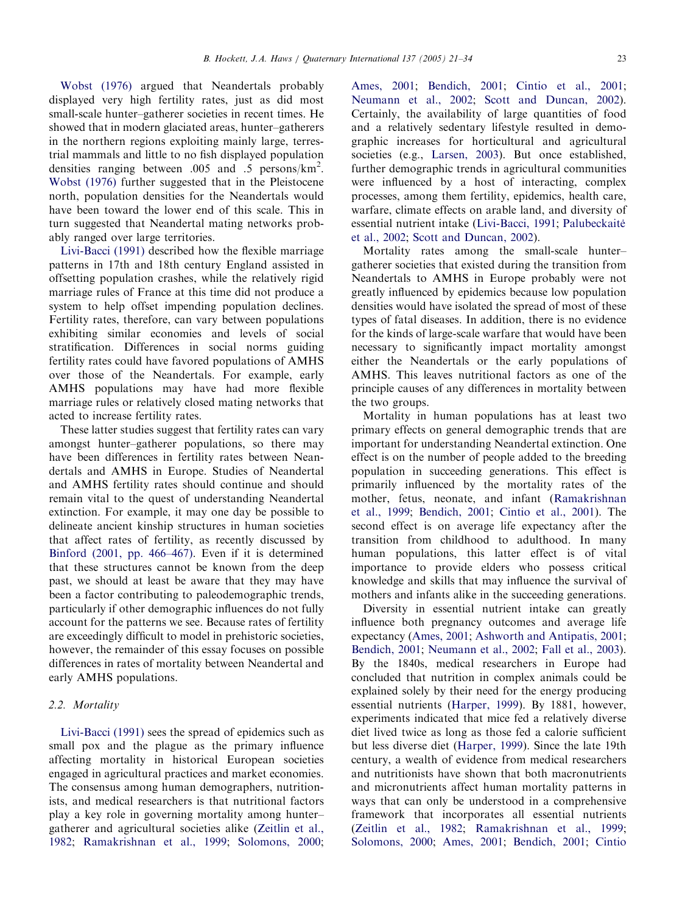[Wobst \(1976\)](#page-13-0) argued that Neandertals probably displayed very high fertility rates, just as did most small-scale hunter–gatherer societies in recent times. He showed that in modern glaciated areas, hunter–gatherers in the northern regions exploiting mainly large, terrestrial mammals and little to no fish displayed population densities ranging between .005 and .5 persons/ $\text{km}^2$ . [Wobst \(1976\)](#page-13-0) further suggested that in the Pleistocene north, population densities for the Neandertals would have been toward the lower end of this scale. This in turn suggested that Neandertal mating networks probably ranged over large territories.

[Livi-Bacci \(1991\)](#page-11-0) described how the flexible marriage patterns in 17th and 18th century England assisted in offsetting population crashes, while the relatively rigid marriage rules of France at this time did not produce a system to help offset impending population declines. Fertility rates, therefore, can vary between populations exhibiting similar economies and levels of social stratification. Differences in social norms guiding fertility rates could have favored populations of AMHS over those of the Neandertals. For example, early AMHS populations may have had more flexible marriage rules or relatively closed mating networks that acted to increase fertility rates.

These latter studies suggest that fertility rates can vary amongst hunter–gatherer populations, so there may have been differences in fertility rates between Neandertals and AMHS in Europe. Studies of Neandertal and AMHS fertility rates should continue and should remain vital to the quest of understanding Neandertal extinction. For example, it may one day be possible to delineate ancient kinship structures in human societies that affect rates of fertility, as recently discussed by [Binford \(2001, pp. 466–467\).](#page-10-0) Even if it is determined that these structures cannot be known from the deep past, we should at least be aware that they may have been a factor contributing to paleodemographic trends, particularly if other demographic influences do not fully account for the patterns we see. Because rates of fertility are exceedingly difficult to model in prehistoric societies, however, the remainder of this essay focuses on possible differences in rates of mortality between Neandertal and early AMHS populations.

### 2.2. Mortality

[Livi-Bacci \(1991\)](#page-11-0) sees the spread of epidemics such as small pox and the plague as the primary influence affecting mortality in historical European societies engaged in agricultural practices and market economies. The consensus among human demographers, nutritionists, and medical researchers is that nutritional factors play a key role in governing mortality among hunter– gatherer and agricultural societies alike [\(Zeitlin et al.,](#page-13-0) [1982](#page-13-0); [Ramakrishnan et al., 1999](#page-12-0); [Solomons, 2000;](#page-12-0)

[Ames, 2001;](#page-10-0) [Bendich, 2001;](#page-10-0) [Cintio et al., 2001;](#page-11-0) [Neumann et al., 2002](#page-12-0); [Scott and Duncan, 2002\)](#page-12-0). Certainly, the availability of large quantities of food and a relatively sedentary lifestyle resulted in demographic increases for horticultural and agricultural societies (e.g., [Larsen, 2003\)](#page-11-0). But once established, further demographic trends in agricultural communities were influenced by a host of interacting, complex processes, among them fertility, epidemics, health care, warfare, climate effects on arable land, and diversity of essential nutrient intake [\(Livi-Bacci, 1991;](#page-11-0) [Palubeckaite](#page-12-0)' [et al., 2002;](#page-12-0) [Scott and Duncan, 2002\)](#page-12-0).

Mortality rates among the small-scale hunter– gatherer societies that existed during the transition from Neandertals to AMHS in Europe probably were not greatly influenced by epidemics because low population densities would have isolated the spread of most of these types of fatal diseases. In addition, there is no evidence for the kinds of large-scale warfare that would have been necessary to significantly impact mortality amongst either the Neandertals or the early populations of AMHS. This leaves nutritional factors as one of the principle causes of any differences in mortality between the two groups.

Mortality in human populations has at least two primary effects on general demographic trends that are important for understanding Neandertal extinction. One effect is on the number of people added to the breeding population in succeeding generations. This effect is primarily influenced by the mortality rates of the mother, fetus, neonate, and infant [\(Ramakrishnan](#page-12-0) [et al., 1999](#page-12-0); [Bendich, 2001](#page-10-0); [Cintio et al., 2001](#page-11-0)). The second effect is on average life expectancy after the transition from childhood to adulthood. In many human populations, this latter effect is of vital importance to provide elders who possess critical knowledge and skills that may influence the survival of mothers and infants alike in the succeeding generations.

Diversity in essential nutrient intake can greatly influence both pregnancy outcomes and average life expectancy [\(Ames, 2001;](#page-10-0) [Ashworth and Antipatis, 2001;](#page-10-0) [Bendich, 2001](#page-10-0); [Neumann et al., 2002;](#page-12-0) [Fall et al., 2003\)](#page-11-0). By the 1840s, medical researchers in Europe had concluded that nutrition in complex animals could be explained solely by their need for the energy producing essential nutrients [\(Harper, 1999\)](#page-11-0). By 1881, however, experiments indicated that mice fed a relatively diverse diet lived twice as long as those fed a calorie sufficient but less diverse diet ([Harper, 1999\)](#page-11-0). Since the late 19th century, a wealth of evidence from medical researchers and nutritionists have shown that both macronutrients and micronutrients affect human mortality patterns in ways that can only be understood in a comprehensive framework that incorporates all essential nutrients ([Zeitlin et al., 1982](#page-13-0); [Ramakrishnan et al., 1999;](#page-12-0) [Solomons, 2000](#page-12-0); [Ames, 2001](#page-10-0); [Bendich, 2001](#page-10-0); [Cintio](#page-11-0)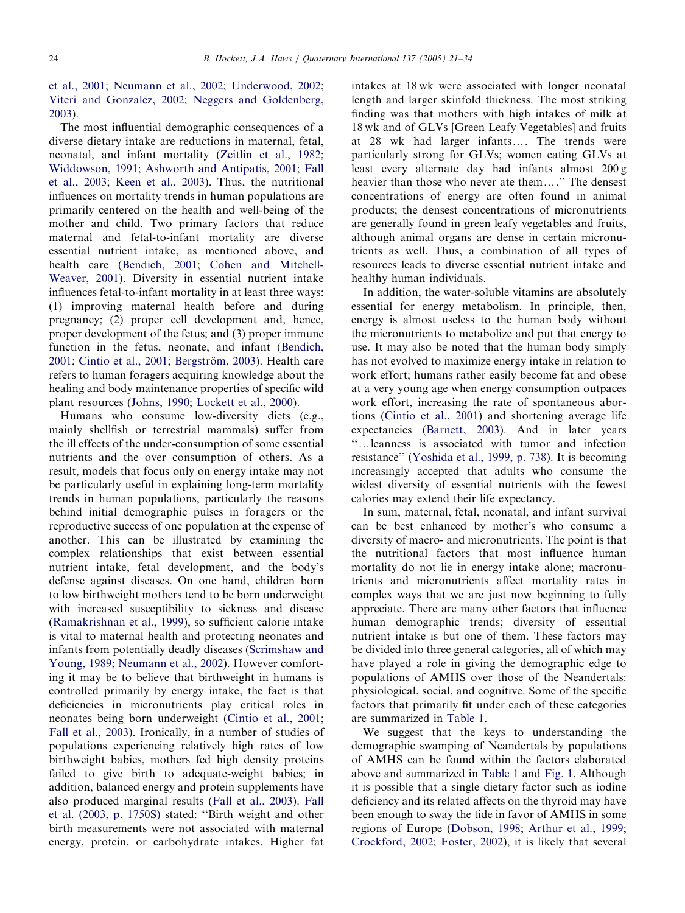# [et al., 2001;](#page-11-0) [Neumann et al., 2002](#page-12-0); [Underwood, 2002;](#page-13-0) [Viteri and Gonzalez, 2002](#page-13-0); [Neggers and Goldenberg,](#page-12-0) [2003](#page-12-0)).

The most influential demographic consequences of a diverse dietary intake are reductions in maternal, fetal, neonatal, and infant mortality [\(Zeitlin et al., 1982;](#page-13-0) [Widdowson, 1991](#page-13-0); [Ashworth and Antipatis, 2001](#page-10-0); [Fall](#page-11-0) [et al., 2003;](#page-11-0) [Keen et al., 2003](#page-11-0)). Thus, the nutritional influences on mortality trends in human populations are primarily centered on the health and well-being of the mother and child. Two primary factors that reduce maternal and fetal-to-infant mortality are diverse essential nutrient intake, as mentioned above, and health care [\(Bendich, 2001;](#page-10-0) [Cohen and Mitchell-](#page-11-0)[Weaver, 2001](#page-11-0)). Diversity in essential nutrient intake influences fetal-to-infant mortality in at least three ways: (1) improving maternal health before and during pregnancy; (2) proper cell development and, hence, proper development of the fetus; and (3) proper immune function in the fetus, neonate, and infant [\(Bendich,](#page-10-0) [2001](#page-10-0); [Cintio et al., 2001;](#page-11-0) Bergström, 2003). Health care refers to human foragers acquiring knowledge about the healing and body maintenance properties of specific wild plant resources [\(Johns, 1990;](#page-11-0) [Lockett et al., 2000\)](#page-11-0).

Humans who consume low-diversity diets (e.g., mainly shellfish or terrestrial mammals) suffer from the ill effects of the under-consumption of some essential nutrients and the over consumption of others. As a result, models that focus only on energy intake may not be particularly useful in explaining long-term mortality trends in human populations, particularly the reasons behind initial demographic pulses in foragers or the reproductive success of one population at the expense of another. This can be illustrated by examining the complex relationships that exist between essential nutrient intake, fetal development, and the body's defense against diseases. On one hand, children born to low birthweight mothers tend to be born underweight with increased susceptibility to sickness and disease ([Ramakrishnan et al., 1999\)](#page-12-0), so sufficient calorie intake is vital to maternal health and protecting neonates and infants from potentially deadly diseases ([Scrimshaw and](#page-12-0) [Young, 1989](#page-12-0); [Neumann et al., 2002](#page-12-0)). However comforting it may be to believe that birthweight in humans is controlled primarily by energy intake, the fact is that deficiencies in micronutrients play critical roles in neonates being born underweight ([Cintio et al., 2001;](#page-11-0) [Fall et al., 2003\)](#page-11-0). Ironically, in a number of studies of populations experiencing relatively high rates of low birthweight babies, mothers fed high density proteins failed to give birth to adequate-weight babies; in addition, balanced energy and protein supplements have also produced marginal results ([Fall et al., 2003](#page-11-0)). [Fall](#page-11-0) [et al. \(2003, p. 1750S\)](#page-11-0) stated: ''Birth weight and other birth measurements were not associated with maternal energy, protein, or carbohydrate intakes. Higher fat

intakes at 18 wk were associated with longer neonatal length and larger skinfold thickness. The most striking finding was that mothers with high intakes of milk at 18 wk and of GLVs [Green Leafy Vegetables] and fruits at 28 wk had larger infants.... The trends were particularly strong for GLVs; women eating GLVs at least every alternate day had infants almost 200 g heavier than those who never ate them...." The densest concentrations of energy are often found in animal products; the densest concentrations of micronutrients are generally found in green leafy vegetables and fruits, although animal organs are dense in certain micronutrients as well. Thus, a combination of all types of resources leads to diverse essential nutrient intake and healthy human individuals.

In addition, the water-soluble vitamins are absolutely essential for energy metabolism. In principle, then, energy is almost useless to the human body without the micronutrients to metabolize and put that energy to use. It may also be noted that the human body simply has not evolved to maximize energy intake in relation to work effort; humans rather easily become fat and obese at a very young age when energy consumption outpaces work effort, increasing the rate of spontaneous abortions [\(Cintio et al., 2001](#page-11-0)) and shortening average life expectancies ([Barnett, 2003](#page-10-0)). And in later years "... leanness is associated with tumor and infection resistance'' [\(Yoshida et al., 1999, p. 738](#page-13-0)). It is becoming increasingly accepted that adults who consume the widest diversity of essential nutrients with the fewest calories may extend their life expectancy.

In sum, maternal, fetal, neonatal, and infant survival can be best enhanced by mother's who consume a diversity of macro- and micronutrients. The point is that the nutritional factors that most influence human mortality do not lie in energy intake alone; macronutrients and micronutrients affect mortality rates in complex ways that we are just now beginning to fully appreciate. There are many other factors that influence human demographic trends; diversity of essential nutrient intake is but one of them. These factors may be divided into three general categories, all of which may have played a role in giving the demographic edge to populations of AMHS over those of the Neandertals: physiological, social, and cognitive. Some of the specific factors that primarily fit under each of these categories are summarized in [Table 1](#page-4-0).

We suggest that the keys to understanding the demographic swamping of Neandertals by populations of AMHS can be found within the factors elaborated above and summarized in [Table 1](#page-4-0) and [Fig. 1](#page-4-0). Although it is possible that a single dietary factor such as iodine deficiency and its related affects on the thyroid may have been enough to sway the tide in favor of AMHS in some regions of Europe ([Dobson, 1998;](#page-11-0) [Arthur et al., 1999;](#page-10-0) [Crockford, 2002;](#page-11-0) [Foster, 2002](#page-11-0)), it is likely that several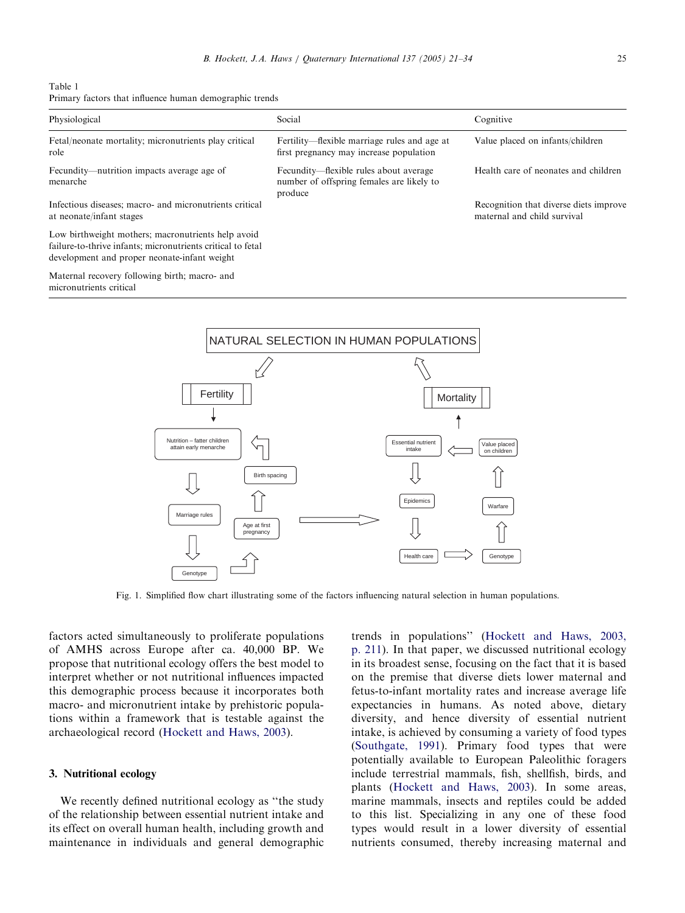<span id="page-4-0"></span>

| Table 1 |  |  |                                                         |  |
|---------|--|--|---------------------------------------------------------|--|
|         |  |  | Primary factors that influence human demographic trends |  |

| Physiological                                                                                                                                                     | Social                                                                                         | Cognitive                                                             |
|-------------------------------------------------------------------------------------------------------------------------------------------------------------------|------------------------------------------------------------------------------------------------|-----------------------------------------------------------------------|
| Fetal/neonate mortality; micronutrients play critical<br>role                                                                                                     | Fertility—flexible marriage rules and age at<br>first pregnancy may increase population        | Value placed on infants/children                                      |
| Fecundity—nutrition impacts average age of<br>menarche                                                                                                            | Fecundity—flexible rules about average<br>number of offspring females are likely to<br>produce | Health care of neonates and children                                  |
| Infectious diseases; macro- and micronutrients critical<br>at neonate/infant stages                                                                               |                                                                                                | Recognition that diverse diets improve<br>maternal and child survival |
| Low birthweight mothers; macronutrients help avoid<br>failure-to-thrive infants; micronutrients critical to fetal<br>development and proper neonate-infant weight |                                                                                                |                                                                       |
| Maternal recovery following birth; macro- and<br>micronutrients critical                                                                                          |                                                                                                |                                                                       |



Fig. 1. Simplified flow chart illustrating some of the factors influencing natural selection in human populations.

factors acted simultaneously to proliferate populations of AMHS across Europe after ca. 40,000 BP. We propose that nutritional ecology offers the best model to interpret whether or not nutritional influences impacted this demographic process because it incorporates both macro- and micronutrient intake by prehistoric populations within a framework that is testable against the archaeological record ([Hockett and Haws, 2003\)](#page-11-0).

# 3. Nutritional ecology

We recently defined nutritional ecology as ''the study of the relationship between essential nutrient intake and its effect on overall human health, including growth and maintenance in individuals and general demographic trends in populations'' ([Hockett and Haws, 2003,](#page-11-0) [p. 211](#page-11-0)). In that paper, we discussed nutritional ecology in its broadest sense, focusing on the fact that it is based on the premise that diverse diets lower maternal and fetus-to-infant mortality rates and increase average life expectancies in humans. As noted above, dietary diversity, and hence diversity of essential nutrient intake, is achieved by consuming a variety of food types ([Southgate, 1991](#page-12-0)). Primary food types that were potentially available to European Paleolithic foragers include terrestrial mammals, fish, shellfish, birds, and plants ([Hockett and Haws, 2003](#page-11-0)). In some areas, marine mammals, insects and reptiles could be added to this list. Specializing in any one of these food types would result in a lower diversity of essential nutrients consumed, thereby increasing maternal and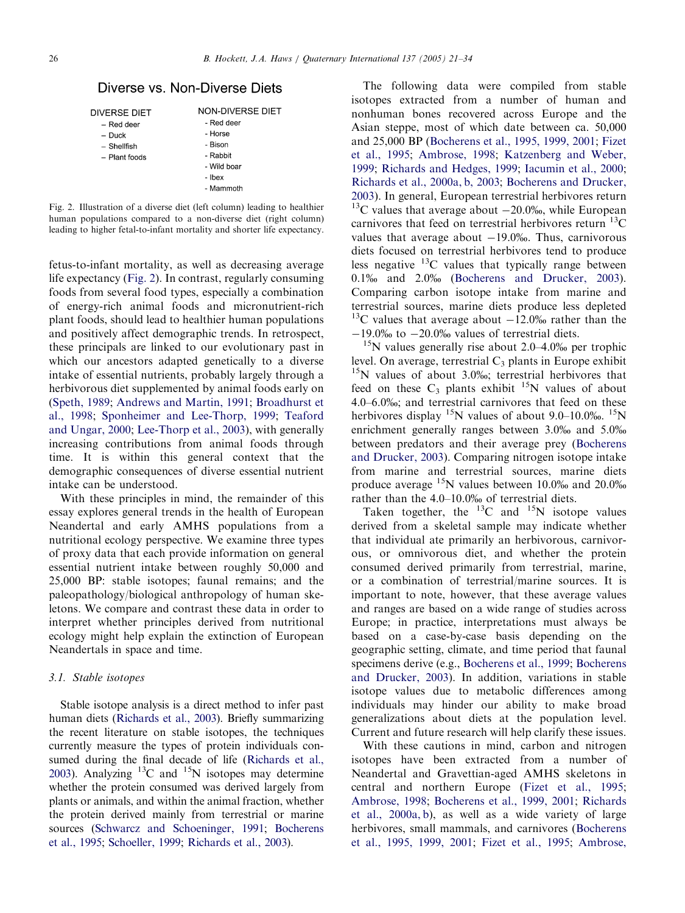# <span id="page-5-0"></span>Diverse vs. Non-Diverse Diets

| DIVERSE DIET  |  |
|---------------|--|
| – Red deer    |  |
| $-$ Duck      |  |
| – Shellfish   |  |
| - Plant foods |  |
|               |  |
|               |  |

- Red deer - Horse - Bison - Rabbit - Wild boar

NON-DIVERSE DIET

- Ibex - Mammoth

Fig. 2. Illustration of a diverse diet (left column) leading to healthier human populations compared to a non-diverse diet (right column) leading to higher fetal-to-infant mortality and shorter life expectancy.

fetus-to-infant mortality, as well as decreasing average life expectancy (Fig. 2). In contrast, regularly consuming foods from several food types, especially a combination of energy-rich animal foods and micronutrient-rich plant foods, should lead to healthier human populations and positively affect demographic trends. In retrospect, these principals are linked to our evolutionary past in which our ancestors adapted genetically to a diverse intake of essential nutrients, probably largely through a herbivorous diet supplemented by animal foods early on ([Speth, 1989;](#page-12-0) [Andrews and Martin, 1991;](#page-10-0) [Broadhurst et](#page-11-0) [al., 1998;](#page-11-0) [Sponheimer and Lee-Thorp, 1999;](#page-12-0) [Teaford](#page-13-0) [and Ungar, 2000;](#page-13-0) [Lee-Thorp et al., 2003](#page-11-0)), with generally increasing contributions from animal foods through time. It is within this general context that the demographic consequences of diverse essential nutrient intake can be understood.

With these principles in mind, the remainder of this essay explores general trends in the health of European Neandertal and early AMHS populations from a nutritional ecology perspective. We examine three types of proxy data that each provide information on general essential nutrient intake between roughly 50,000 and 25,000 BP: stable isotopes; faunal remains; and the paleopathology/biological anthropology of human skeletons. We compare and contrast these data in order to interpret whether principles derived from nutritional ecology might help explain the extinction of European Neandertals in space and time.

# 3.1. Stable isotopes

Stable isotope analysis is a direct method to infer past human diets [\(Richards et al., 2003](#page-12-0)). Briefly summarizing the recent literature on stable isotopes, the techniques currently measure the types of protein individuals consumed during the final decade of life [\(Richards et al.,](#page-12-0) [2003\)](#page-12-0). Analyzing  $^{13}$ C and  $^{15}$ N isotopes may determine whether the protein consumed was derived largely from plants or animals, and within the animal fraction, whether the protein derived mainly from terrestrial or marine sources ([Schwarcz and Schoeninger, 1991;](#page-12-0) [Bocherens](#page-10-0) [et al., 1995](#page-10-0); [Schoeller, 1999](#page-12-0); [Richards et al., 2003](#page-12-0)).

The following data were compiled from stable isotopes extracted from a number of human and nonhuman bones recovered across Europe and the Asian steppe, most of which date between ca. 50,000 and 25,000 BP ([Bocherens et al., 1995, 1999, 2001;](#page-10-0) [Fizet](#page-11-0) [et al., 1995](#page-11-0); [Ambrose, 1998;](#page-10-0) [Katzenberg and Weber,](#page-11-0) [1999](#page-11-0); [Richards and Hedges, 1999;](#page-12-0) [Iacumin et al., 2000;](#page-11-0) [Richards et al., 2000a, b, 2003](#page-12-0); [Bocherens and Drucker,](#page-10-0) [2003](#page-10-0)). In general, European terrestrial herbivores return  $13<sup>C</sup>$  values that average about  $-20.0\%$ , while European carnivores that feed on terrestrial herbivores return  $^{13}$ C values that average about  $-19.0\%$ . Thus, carnivorous diets focused on terrestrial herbivores tend to produce less negative  $^{13}$ C values that typically range between 0.1% and 2.0% [\(Bocherens and Drucker, 2003\)](#page-10-0). Comparing carbon isotope intake from marine and terrestrial sources, marine diets produce less depleted <sup>13</sup>C values that average about  $-12.0\%$  rather than the  $-19.0\%$  to  $-20.0\%$  values of terrestrial diets.

 $15$ N values generally rise about 2.0–4.0‰ per trophic level. On average, terrestrial  $C_3$  plants in Europe exhibit  $15N$  values of about 3.0%; terrestrial herbivores that feed on these  $C_3$  plants exhibit  $15N$  values of about 4.0–6.0%; and terrestrial carnivores that feed on these herbivores display <sup>15</sup>N values of about 9.0–10.0‰. <sup>15</sup>N enrichment generally ranges between 3.0‰ and 5.0‰ between predators and their average prey ([Bocherens](#page-10-0) [and Drucker, 2003\)](#page-10-0). Comparing nitrogen isotope intake from marine and terrestrial sources, marine diets produce average  $^{15}$ N values between 10.0% and 20.0% rather than the 4.0–10.0% of terrestrial diets.

Taken together, the  $^{13}$ C and  $^{15}$ N isotope values derived from a skeletal sample may indicate whether that individual ate primarily an herbivorous, carnivorous, or omnivorous diet, and whether the protein consumed derived primarily from terrestrial, marine, or a combination of terrestrial/marine sources. It is important to note, however, that these average values and ranges are based on a wide range of studies across Europe; in practice, interpretations must always be based on a case-by-case basis depending on the geographic setting, climate, and time period that faunal specimens derive (e.g., [Bocherens et al., 1999](#page-10-0); [Bocherens](#page-10-0) [and Drucker, 2003](#page-10-0)). In addition, variations in stable isotope values due to metabolic differences among individuals may hinder our ability to make broad generalizations about diets at the population level. Current and future research will help clarify these issues.

With these cautions in mind, carbon and nitrogen isotopes have been extracted from a number of Neandertal and Gravettian-aged AMHS skeletons in central and northern Europe [\(Fizet et al., 1995;](#page-11-0) [Ambrose, 1998;](#page-10-0) [Bocherens et al., 1999, 2001;](#page-10-0) [Richards](#page-12-0) [et al., 2000a, b\)](#page-12-0), as well as a wide variety of large herbivores, small mammals, and carnivores ([Bocherens](#page-10-0) [et al., 1995, 1999, 2001](#page-10-0); [Fizet et al., 1995](#page-11-0); [Ambrose,](#page-10-0)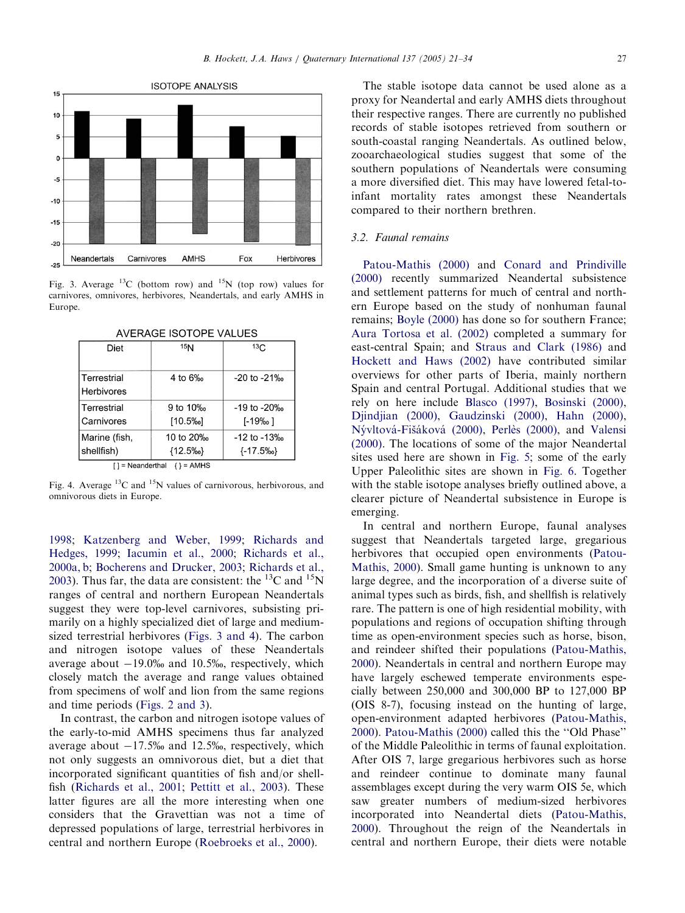

Fig. 3. Average  $^{13}$ C (bottom row) and  $^{15}$ N (top row) values for carnivores, omnivores, herbivores, Neandertals, and early AMHS in Europe.

| Diet                                 | 15 <sub>N</sub> | 13C                     |  |  |
|--------------------------------------|-----------------|-------------------------|--|--|
|                                      |                 |                         |  |  |
|                                      |                 |                         |  |  |
| Terrestrial                          | 4 to 6%         | -20 to -21‰             |  |  |
| Herbivores                           |                 |                         |  |  |
|                                      |                 |                         |  |  |
| Terrestrial                          | 9 to 10%        | -19 to -20‰             |  |  |
| Carnivores                           | [10.5%]         | $[-19\%$ <sub>0</sub> ] |  |  |
|                                      |                 |                         |  |  |
| Marine (fish,                        | 10 to 20%       | $-12$ to $-13%$         |  |  |
| shellfish)                           | ${12.5\%}$      | $\{-17.5\% \}$          |  |  |
| $\lceil$ = Neanderthal $\{\}$ = AMHS |                 |                         |  |  |

**AVERAGE ISOTOPE VALUES** 

Fig. 4. Average  ${}^{13}C$  and  ${}^{15}N$  values of carnivorous, herbivorous, and omnivorous diets in Europe.

[1998](#page-10-0); [Katzenberg and Weber, 1999](#page-11-0); [Richards and](#page-12-0) [Hedges, 1999](#page-12-0); [Iacumin et al., 2000;](#page-11-0) [Richards et al.,](#page-12-0) [2000a, b](#page-12-0); [Bocherens and Drucker, 2003;](#page-10-0) [Richards et al.,](#page-12-0) [2003](#page-12-0)). Thus far, the data are consistent: the  ${}^{13}C$  and  ${}^{15}N$ ranges of central and northern European Neandertals suggest they were top-level carnivores, subsisting primarily on a highly specialized diet of large and mediumsized terrestrial herbivores (Figs. 3 and 4). The carbon and nitrogen isotope values of these Neandertals average about  $-19.0\%$  and 10.5%, respectively, which closely match the average and range values obtained from specimens of wolf and lion from the same regions and time periods ([Figs. 2 and 3\)](#page-5-0).

In contrast, the carbon and nitrogen isotope values of the early-to-mid AMHS specimens thus far analyzed average about  $-17.5\%$  and 12.5%, respectively, which not only suggests an omnivorous diet, but a diet that incorporated significant quantities of fish and/or shellfish [\(Richards et al., 2001](#page-12-0); [Pettitt et al., 2003](#page-12-0)). These latter figures are all the more interesting when one considers that the Gravettian was not a time of depressed populations of large, terrestrial herbivores in central and northern Europe [\(Roebroeks et al., 2000\)](#page-12-0).

The stable isotope data cannot be used alone as a proxy for Neandertal and early AMHS diets throughout their respective ranges. There are currently no published records of stable isotopes retrieved from southern or south-coastal ranging Neandertals. As outlined below, zooarchaeological studies suggest that some of the southern populations of Neandertals were consuming a more diversified diet. This may have lowered fetal-toinfant mortality rates amongst these Neandertals compared to their northern brethren.

### 3.2. Faunal remains

[Patou-Mathis \(2000\)](#page-12-0) and [Conard and Prindiville](#page-11-0) [\(2000\)](#page-11-0) recently summarized Neandertal subsistence and settlement patterns for much of central and northern Europe based on the study of nonhuman faunal remains; [Boyle \(2000\)](#page-11-0) has done so for southern France; [Aura Tortosa et al. \(2002\)](#page-10-0) completed a summary for east-central Spain; and [Straus and Clark \(1986\)](#page-12-0) and [Hockett and Haws \(2002\)](#page-11-0) have contributed similar overviews for other parts of Iberia, mainly northern Spain and central Portugal. Additional studies that we rely on here include [Blasco \(1997\),](#page-10-0) [Bosinski \(2000\),](#page-10-0) [Djindjian \(2000\)](#page-11-0), [Gaudzinski \(2000\)](#page-11-0), [Hahn \(2000\),](#page-11-0) Nývltová-Fišáková (2000), Perlès (2000), and [Valensi](#page-13-0) [\(2000\)](#page-13-0). The locations of some of the major Neandertal sites used here are shown in [Fig. 5;](#page-7-0) some of the early Upper Paleolithic sites are shown in [Fig. 6.](#page-7-0) Together with the stable isotope analyses briefly outlined above, a clearer picture of Neandertal subsistence in Europe is emerging.

In central and northern Europe, faunal analyses suggest that Neandertals targeted large, gregarious herbivores that occupied open environments ([Patou-](#page-12-0)[Mathis, 2000](#page-12-0)). Small game hunting is unknown to any large degree, and the incorporation of a diverse suite of animal types such as birds, fish, and shellfish is relatively rare. The pattern is one of high residential mobility, with populations and regions of occupation shifting through time as open-environment species such as horse, bison, and reindeer shifted their populations ([Patou-Mathis,](#page-12-0) [2000](#page-12-0)). Neandertals in central and northern Europe may have largely eschewed temperate environments especially between 250,000 and 300,000 BP to 127,000 BP (OIS 8-7), focusing instead on the hunting of large, open-environment adapted herbivores ([Patou-Mathis,](#page-12-0) [2000](#page-12-0)). [Patou-Mathis \(2000\)](#page-12-0) called this the ''Old Phase'' of the Middle Paleolithic in terms of faunal exploitation. After OIS 7, large gregarious herbivores such as horse and reindeer continue to dominate many faunal assemblages except during the very warm OIS 5e, which saw greater numbers of medium-sized herbivores incorporated into Neandertal diets ([Patou-Mathis,](#page-12-0) [2000](#page-12-0)). Throughout the reign of the Neandertals in central and northern Europe, their diets were notable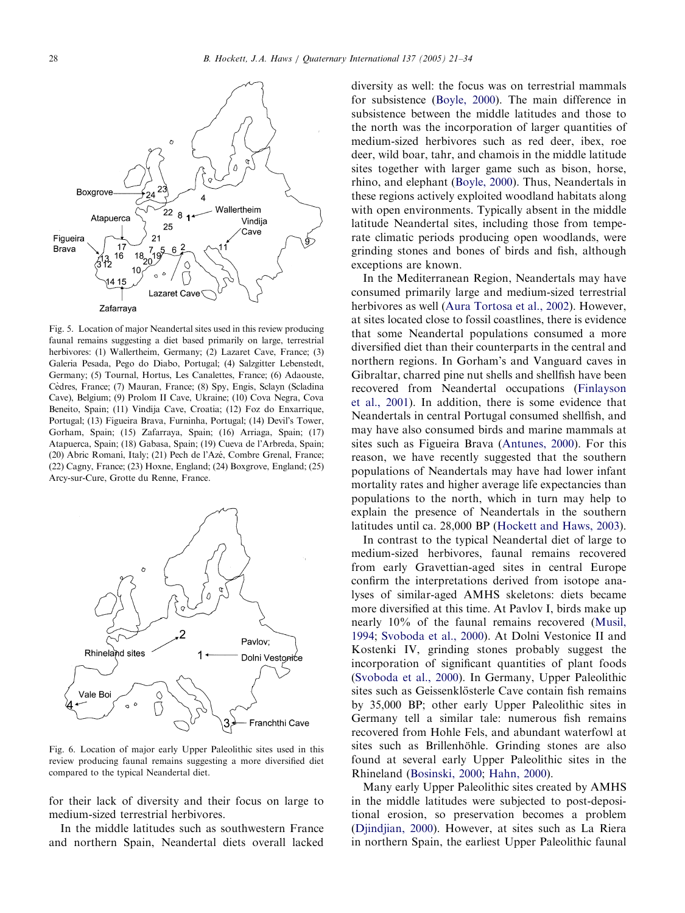<span id="page-7-0"></span>

Fig. 5. Location of major Neandertal sites used in this review producing faunal remains suggesting a diet based primarily on large, terrestrial herbivores: (1) Wallertheim, Germany; (2) Lazaret Cave, France; (3) Galeria Pesada, Pego do Diabo, Portugal; (4) Salzgitter Lebenstedt, Germany; (5) Tournal, Hortus, Les Canalettes, France; (6) Adaouste, Cèdres, France; (7) Mauran, France; (8) Spy, Engis, Sclayn (Scladina Cave), Belgium; (9) Prolom II Cave, Ukraine; (10) Cova Negra, Cova Beneito, Spain; (11) Vindija Cave, Croatia; (12) Foz do Enxarrique, Portugal; (13) Figueira Brava, Furninha, Portugal; (14) Devil's Tower, Gorham, Spain; (15) Zafarraya, Spain; (16) Arriaga, Spain; (17) Atapuerca, Spain; (18) Gabasa, Spain; (19) Cueva de l'Arbreda, Spain; (20) Abric Romaní, Italy; (21) Pech de l'Azé, Combre Grenal, France; (22) Cagny, France; (23) Hoxne, England; (24) Boxgrove, England; (25) Arcy-sur-Cure, Grotte du Renne, France.



Fig. 6. Location of major early Upper Paleolithic sites used in this review producing faunal remains suggesting a more diversified diet compared to the typical Neandertal diet.

for their lack of diversity and their focus on large to medium-sized terrestrial herbivores.

In the middle latitudes such as southwestern France and northern Spain, Neandertal diets overall lacked diversity as well: the focus was on terrestrial mammals for subsistence ([Boyle, 2000\)](#page-11-0). The main difference in subsistence between the middle latitudes and those to the north was the incorporation of larger quantities of medium-sized herbivores such as red deer, ibex, roe deer, wild boar, tahr, and chamois in the middle latitude sites together with larger game such as bison, horse, rhino, and elephant ([Boyle, 2000\)](#page-11-0). Thus, Neandertals in these regions actively exploited woodland habitats along with open environments. Typically absent in the middle latitude Neandertal sites, including those from temperate climatic periods producing open woodlands, were grinding stones and bones of birds and fish, although exceptions are known.

In the Mediterranean Region, Neandertals may have consumed primarily large and medium-sized terrestrial herbivores as well [\(Aura Tortosa et al., 2002\)](#page-10-0). However, at sites located close to fossil coastlines, there is evidence that some Neandertal populations consumed a more diversified diet than their counterparts in the central and northern regions. In Gorham's and Vanguard caves in Gibraltar, charred pine nut shells and shellfish have been recovered from Neandertal occupations [\(Finlayson](#page-11-0) [et al., 2001](#page-11-0)). In addition, there is some evidence that Neandertals in central Portugal consumed shellfish, and may have also consumed birds and marine mammals at sites such as Figueira Brava ([Antunes, 2000](#page-10-0)). For this reason, we have recently suggested that the southern populations of Neandertals may have had lower infant mortality rates and higher average life expectancies than populations to the north, which in turn may help to explain the presence of Neandertals in the southern latitudes until ca. 28,000 BP [\(Hockett and Haws, 2003\)](#page-11-0).

In contrast to the typical Neandertal diet of large to medium-sized herbivores, faunal remains recovered from early Gravettian-aged sites in central Europe confirm the interpretations derived from isotope analyses of similar-aged AMHS skeletons: diets became more diversified at this time. At Pavlov I, birds make up nearly 10% of the faunal remains recovered [\(Musil,](#page-12-0) [1994](#page-12-0); [Svoboda et al., 2000\)](#page-13-0). At Dolni Vestonice II and Kostenki IV, grinding stones probably suggest the incorporation of significant quantities of plant foods ([Svoboda et al., 2000\)](#page-13-0). In Germany, Upper Paleolithic sites such as Geissenklösterle Cave contain fish remains by 35,000 BP; other early Upper Paleolithic sites in Germany tell a similar tale: numerous fish remains recovered from Hohle Fels, and abundant waterfowl at sites such as Brillenhöhle. Grinding stones are also found at several early Upper Paleolithic sites in the Rhineland ([Bosinski, 2000;](#page-10-0) [Hahn, 2000](#page-11-0)).

Many early Upper Paleolithic sites created by AMHS in the middle latitudes were subjected to post-depositional erosion, so preservation becomes a problem ([Djindjian, 2000\)](#page-11-0). However, at sites such as La Riera in northern Spain, the earliest Upper Paleolithic faunal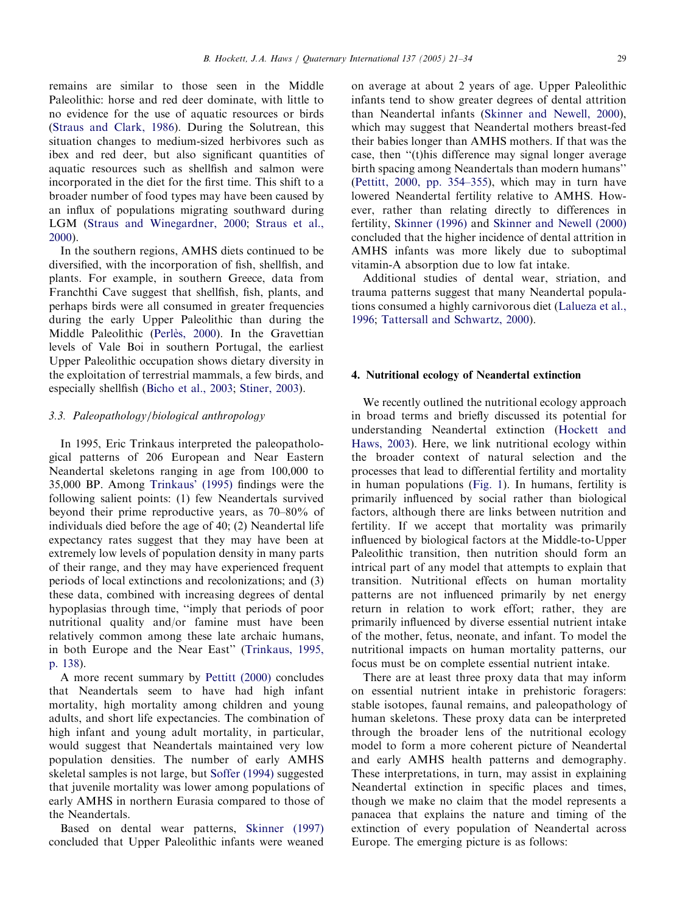remains are similar to those seen in the Middle Paleolithic: horse and red deer dominate, with little to no evidence for the use of aquatic resources or birds ([Straus and Clark, 1986](#page-12-0)). During the Solutrean, this situation changes to medium-sized herbivores such as ibex and red deer, but also significant quantities of aquatic resources such as shellfish and salmon were incorporated in the diet for the first time. This shift to a broader number of food types may have been caused by an influx of populations migrating southward during LGM [\(Straus and Winegardner, 2000](#page-12-0); [Straus et al.,](#page-12-0) [2000](#page-12-0)).

In the southern regions, AMHS diets continued to be diversified, with the incorporation of fish, shellfish, and plants. For example, in southern Greece, data from Franchthi Cave suggest that shellfish, fish, plants, and perhaps birds were all consumed in greater frequencies during the early Upper Paleolithic than during the Middle Paleolithic (Perlès, 2000). In the Gravettian levels of Vale Boi in southern Portugal, the earliest Upper Paleolithic occupation shows dietary diversity in the exploitation of terrestrial mammals, a few birds, and especially shellfish [\(Bicho et al., 2003;](#page-10-0) [Stiner, 2003\)](#page-12-0).

# 3.3. Paleopathology/biological anthropology

In 1995, Eric Trinkaus interpreted the paleopathological patterns of 206 European and Near Eastern Neandertal skeletons ranging in age from 100,000 to 35,000 BP. Among [Trinkaus' \(1995\)](#page-13-0) findings were the following salient points: (1) few Neandertals survived beyond their prime reproductive years, as 70–80% of individuals died before the age of 40; (2) Neandertal life expectancy rates suggest that they may have been at extremely low levels of population density in many parts of their range, and they may have experienced frequent periods of local extinctions and recolonizations; and (3) these data, combined with increasing degrees of dental hypoplasias through time, ''imply that periods of poor nutritional quality and/or famine must have been relatively common among these late archaic humans, in both Europe and the Near East'' ([Trinkaus, 1995,](#page-13-0) [p. 138](#page-13-0)).

A more recent summary by [Pettitt \(2000\)](#page-12-0) concludes that Neandertals seem to have had high infant mortality, high mortality among children and young adults, and short life expectancies. The combination of high infant and young adult mortality, in particular, would suggest that Neandertals maintained very low population densities. The number of early AMHS skeletal samples is not large, but [Soffer \(1994\)](#page-12-0) suggested that juvenile mortality was lower among populations of early AMHS in northern Eurasia compared to those of the Neandertals.

Based on dental wear patterns, [Skinner \(1997\)](#page-12-0) concluded that Upper Paleolithic infants were weaned

on average at about 2 years of age. Upper Paleolithic infants tend to show greater degrees of dental attrition than Neandertal infants [\(Skinner and Newell, 2000\)](#page-12-0), which may suggest that Neandertal mothers breast-fed their babies longer than AMHS mothers. If that was the case, then ''(t)his difference may signal longer average birth spacing among Neandertals than modern humans'' ([Pettitt, 2000, pp. 354–355](#page-12-0)), which may in turn have lowered Neandertal fertility relative to AMHS. However, rather than relating directly to differences in fertility, [Skinner \(1996\)](#page-12-0) and [Skinner and Newell \(2000\)](#page-12-0) concluded that the higher incidence of dental attrition in AMHS infants was more likely due to suboptimal vitamin-A absorption due to low fat intake.

Additional studies of dental wear, striation, and trauma patterns suggest that many Neandertal populations consumed a highly carnivorous diet [\(Lalueza et al.,](#page-11-0) [1996](#page-11-0); [Tattersall and Schwartz, 2000](#page-13-0)).

### 4. Nutritional ecology of Neandertal extinction

We recently outlined the nutritional ecology approach in broad terms and briefly discussed its potential for understanding Neandertal extinction ([Hockett and](#page-11-0) [Haws, 2003\)](#page-11-0). Here, we link nutritional ecology within the broader context of natural selection and the processes that lead to differential fertility and mortality in human populations ([Fig. 1](#page-4-0)). In humans, fertility is primarily influenced by social rather than biological factors, although there are links between nutrition and fertility. If we accept that mortality was primarily influenced by biological factors at the Middle-to-Upper Paleolithic transition, then nutrition should form an intrical part of any model that attempts to explain that transition. Nutritional effects on human mortality patterns are not influenced primarily by net energy return in relation to work effort; rather, they are primarily influenced by diverse essential nutrient intake of the mother, fetus, neonate, and infant. To model the nutritional impacts on human mortality patterns, our focus must be on complete essential nutrient intake.

There are at least three proxy data that may inform on essential nutrient intake in prehistoric foragers: stable isotopes, faunal remains, and paleopathology of human skeletons. These proxy data can be interpreted through the broader lens of the nutritional ecology model to form a more coherent picture of Neandertal and early AMHS health patterns and demography. These interpretations, in turn, may assist in explaining Neandertal extinction in specific places and times, though we make no claim that the model represents a panacea that explains the nature and timing of the extinction of every population of Neandertal across Europe. The emerging picture is as follows: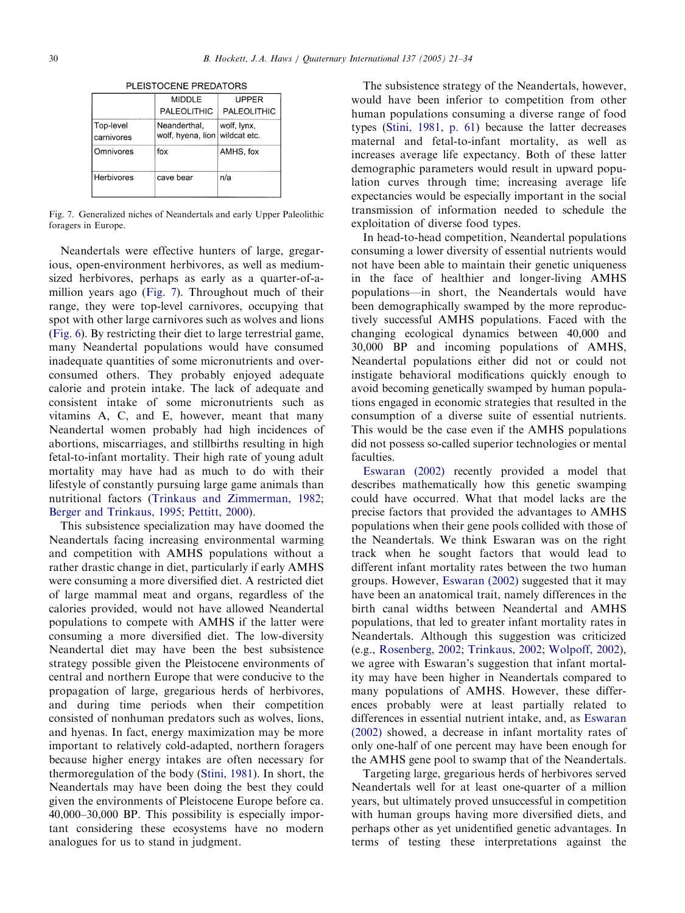|                         | <b>MIDDLE</b>                                  | UPPER       |
|-------------------------|------------------------------------------------|-------------|
|                         | PALEOLITHIC                                    | PALEOLITHIC |
| Top-level<br>carnivores | Neanderthal,<br>wolf, hyena, lion wildcat etc. | wolf, lynx, |
| Omnivores               | fox                                            | AMHS, fox   |
| Herbivores              | cave bear                                      | n/a         |

PLEISTOCENE PREDATORS

Fig. 7. Generalized niches of Neandertals and early Upper Paleolithic foragers in Europe.

Neandertals were effective hunters of large, gregarious, open-environment herbivores, as well as mediumsized herbivores, perhaps as early as a quarter-of-amillion years ago (Fig. 7). Throughout much of their range, they were top-level carnivores, occupying that spot with other large carnivores such as wolves and lions ([Fig. 6](#page-7-0)). By restricting their diet to large terrestrial game, many Neandertal populations would have consumed inadequate quantities of some micronutrients and overconsumed others. They probably enjoyed adequate calorie and protein intake. The lack of adequate and consistent intake of some micronutrients such as vitamins A, C, and E, however, meant that many Neandertal women probably had high incidences of abortions, miscarriages, and stillbirths resulting in high fetal-to-infant mortality. Their high rate of young adult mortality may have had as much to do with their lifestyle of constantly pursuing large game animals than nutritional factors [\(Trinkaus and Zimmerman, 1982;](#page-13-0) [Berger and Trinkaus, 1995;](#page-10-0) [Pettitt, 2000](#page-12-0)).

This subsistence specialization may have doomed the Neandertals facing increasing environmental warming and competition with AMHS populations without a rather drastic change in diet, particularly if early AMHS were consuming a more diversified diet. A restricted diet of large mammal meat and organs, regardless of the calories provided, would not have allowed Neandertal populations to compete with AMHS if the latter were consuming a more diversified diet. The low-diversity Neandertal diet may have been the best subsistence strategy possible given the Pleistocene environments of central and northern Europe that were conducive to the propagation of large, gregarious herds of herbivores, and during time periods when their competition consisted of nonhuman predators such as wolves, lions, and hyenas. In fact, energy maximization may be more important to relatively cold-adapted, northern foragers because higher energy intakes are often necessary for thermoregulation of the body ([Stini, 1981\)](#page-12-0). In short, the Neandertals may have been doing the best they could given the environments of Pleistocene Europe before ca. 40,000–30,000 BP. This possibility is especially important considering these ecosystems have no modern analogues for us to stand in judgment.

The subsistence strategy of the Neandertals, however, would have been inferior to competition from other human populations consuming a diverse range of food types ([Stini, 1981, p. 61\)](#page-12-0) because the latter decreases maternal and fetal-to-infant mortality, as well as increases average life expectancy. Both of these latter demographic parameters would result in upward population curves through time; increasing average life expectancies would be especially important in the social transmission of information needed to schedule the exploitation of diverse food types.

In head-to-head competition, Neandertal populations consuming a lower diversity of essential nutrients would not have been able to maintain their genetic uniqueness in the face of healthier and longer-living AMHS populations—in short, the Neandertals would have been demographically swamped by the more reproductively successful AMHS populations. Faced with the changing ecological dynamics between 40,000 and 30,000 BP and incoming populations of AMHS, Neandertal populations either did not or could not instigate behavioral modifications quickly enough to avoid becoming genetically swamped by human populations engaged in economic strategies that resulted in the consumption of a diverse suite of essential nutrients. This would be the case even if the AMHS populations did not possess so-called superior technologies or mental faculties.

[Eswaran \(2002\)](#page-11-0) recently provided a model that describes mathematically how this genetic swamping could have occurred. What that model lacks are the precise factors that provided the advantages to AMHS populations when their gene pools collided with those of the Neandertals. We think Eswaran was on the right track when he sought factors that would lead to different infant mortality rates between the two human groups. However, [Eswaran \(2002\)](#page-11-0) suggested that it may have been an anatomical trait, namely differences in the birth canal widths between Neandertal and AMHS populations, that led to greater infant mortality rates in Neandertals. Although this suggestion was criticized (e.g., [Rosenberg, 2002;](#page-12-0) [Trinkaus, 2002](#page-13-0); [Wolpoff, 2002\)](#page-13-0), we agree with Eswaran's suggestion that infant mortality may have been higher in Neandertals compared to many populations of AMHS. However, these differences probably were at least partially related to differences in essential nutrient intake, and, as [Eswaran](#page-11-0) [\(2002\)](#page-11-0) showed, a decrease in infant mortality rates of only one-half of one percent may have been enough for the AMHS gene pool to swamp that of the Neandertals.

Targeting large, gregarious herds of herbivores served Neandertals well for at least one-quarter of a million years, but ultimately proved unsuccessful in competition with human groups having more diversified diets, and perhaps other as yet unidentified genetic advantages. In terms of testing these interpretations against the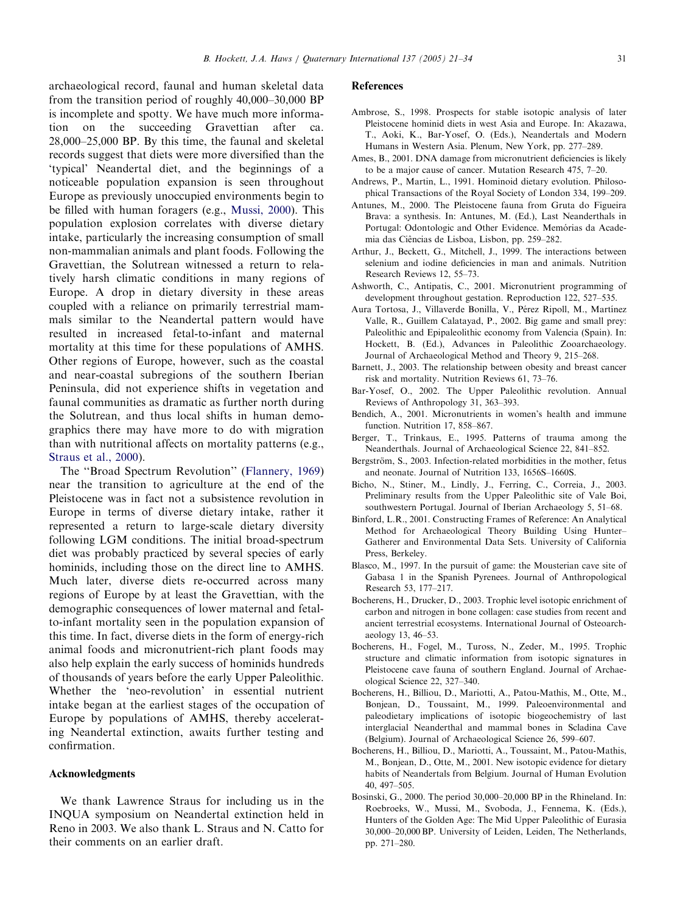<span id="page-10-0"></span>archaeological record, faunal and human skeletal data from the transition period of roughly 40,000–30,000 BP is incomplete and spotty. We have much more information on the succeeding Gravettian after ca. 28,000–25,000 BP. By this time, the faunal and skeletal records suggest that diets were more diversified than the 'typical' Neandertal diet, and the beginnings of a noticeable population expansion is seen throughout Europe as previously unoccupied environments begin to be filled with human foragers (e.g., [Mussi, 2000\)](#page-12-0). This population explosion correlates with diverse dietary intake, particularly the increasing consumption of small non-mammalian animals and plant foods. Following the Gravettian, the Solutrean witnessed a return to relatively harsh climatic conditions in many regions of Europe. A drop in dietary diversity in these areas coupled with a reliance on primarily terrestrial mammals similar to the Neandertal pattern would have resulted in increased fetal-to-infant and maternal mortality at this time for these populations of AMHS. Other regions of Europe, however, such as the coastal and near-coastal subregions of the southern Iberian Peninsula, did not experience shifts in vegetation and faunal communities as dramatic as further north during the Solutrean, and thus local shifts in human demographics there may have more to do with migration than with nutritional affects on mortality patterns (e.g., [Straus et al., 2000](#page-12-0)).

The ''Broad Spectrum Revolution'' [\(Flannery, 1969](#page-11-0)) near the transition to agriculture at the end of the Pleistocene was in fact not a subsistence revolution in Europe in terms of diverse dietary intake, rather it represented a return to large-scale dietary diversity following LGM conditions. The initial broad-spectrum diet was probably practiced by several species of early hominids, including those on the direct line to AMHS. Much later, diverse diets re-occurred across many regions of Europe by at least the Gravettian, with the demographic consequences of lower maternal and fetalto-infant mortality seen in the population expansion of this time. In fact, diverse diets in the form of energy-rich animal foods and micronutrient-rich plant foods may also help explain the early success of hominids hundreds of thousands of years before the early Upper Paleolithic. Whether the 'neo-revolution' in essential nutrient intake began at the earliest stages of the occupation of Europe by populations of AMHS, thereby accelerating Neandertal extinction, awaits further testing and confirmation.

# Acknowledgments

We thank Lawrence Straus for including us in the INQUA symposium on Neandertal extinction held in Reno in 2003. We also thank L. Straus and N. Catto for their comments on an earlier draft.

#### References

- Ambrose, S., 1998. Prospects for stable isotopic analysis of later Pleistocene hominid diets in west Asia and Europe. In: Akazawa, T., Aoki, K., Bar-Yosef, O. (Eds.), Neandertals and Modern Humans in Western Asia. Plenum, New York, pp. 277–289.
- Ames, B., 2001. DNA damage from micronutrient deficiencies is likely to be a major cause of cancer. Mutation Research 475, 7–20.
- Andrews, P., Martin, L., 1991. Hominoid dietary evolution. Philosophical Transactions of the Royal Society of London 334, 199–209.
- Antunes, M., 2000. The Pleistocene fauna from Gruta do Figueira Brava: a synthesis. In: Antunes, M. (Ed.), Last Neanderthals in Portugal: Odontologic and Other Evidence. Memórias da Academia das Ciências de Lisboa, Lisbon, pp. 259-282.
- Arthur, J., Beckett, G., Mitchell, J., 1999. The interactions between selenium and iodine deficiencies in man and animals. Nutrition Research Reviews 12, 55–73.
- Ashworth, C., Antipatis, C., 2001. Micronutrient programming of development throughout gestation. Reproduction 122, 527–535.
- Aura Tortosa, J., Villaverde Bonilla, V., Pérez Ripoll, M., Martínez Valle, R., Guillem Calatayad, P., 2002. Big game and small prey: Paleolithic and Epipaleolithic economy from Valencia (Spain). In: Hockett, B. (Ed.), Advances in Paleolithic Zooarchaeology. Journal of Archaeological Method and Theory 9, 215–268.
- Barnett, J., 2003. The relationship between obesity and breast cancer risk and mortality. Nutrition Reviews 61, 73–76.
- Bar-Yosef, O., 2002. The Upper Paleolithic revolution. Annual Reviews of Anthropology 31, 363–393.
- Bendich, A., 2001. Micronutrients in women's health and immune function. Nutrition 17, 858–867.
- Berger, T., Trinkaus, E., 1995. Patterns of trauma among the Neanderthals. Journal of Archaeological Science 22, 841–852.
- Bergström, S., 2003. Infection-related morbidities in the mother, fetus and neonate. Journal of Nutrition 133, 1656S–1660S.
- Bicho, N., Stiner, M., Lindly, J., Ferring, C., Correia, J., 2003. Preliminary results from the Upper Paleolithic site of Vale Boi, southwestern Portugal. Journal of Iberian Archaeology 5, 51–68.
- Binford, L.R., 2001. Constructing Frames of Reference: An Analytical Method for Archaeological Theory Building Using Hunter– Gatherer and Environmental Data Sets. University of California Press, Berkeley.
- Blasco, M., 1997. In the pursuit of game: the Mousterian cave site of Gabasa 1 in the Spanish Pyrenees. Journal of Anthropological Research 53, 177–217.
- Bocherens, H., Drucker, D., 2003. Trophic level isotopic enrichment of carbon and nitrogen in bone collagen: case studies from recent and ancient terrestrial ecosystems. International Journal of Osteoarchaeology 13, 46–53.
- Bocherens, H., Fogel, M., Tuross, N., Zeder, M., 1995. Trophic structure and climatic information from isotopic signatures in Pleistocene cave fauna of southern England. Journal of Archaeological Science 22, 327–340.
- Bocherens, H., Billiou, D., Mariotti, A., Patou-Mathis, M., Otte, M., Bonjean, D., Toussaint, M., 1999. Paleoenvironmental and paleodietary implications of isotopic biogeochemistry of last interglacial Neanderthal and mammal bones in Scladina Cave (Belgium). Journal of Archaeological Science 26, 599–607.
- Bocherens, H., Billiou, D., Mariotti, A., Toussaint, M., Patou-Mathis, M., Bonjean, D., Otte, M., 2001. New isotopic evidence for dietary habits of Neandertals from Belgium. Journal of Human Evolution 40, 497–505.
- Bosinski, G., 2000. The period 30,000–20,000 BP in the Rhineland. In: Roebroeks, W., Mussi, M., Svoboda, J., Fennema, K. (Eds.), Hunters of the Golden Age: The Mid Upper Paleolithic of Eurasia 30,000–20,000 BP. University of Leiden, Leiden, The Netherlands, pp. 271–280.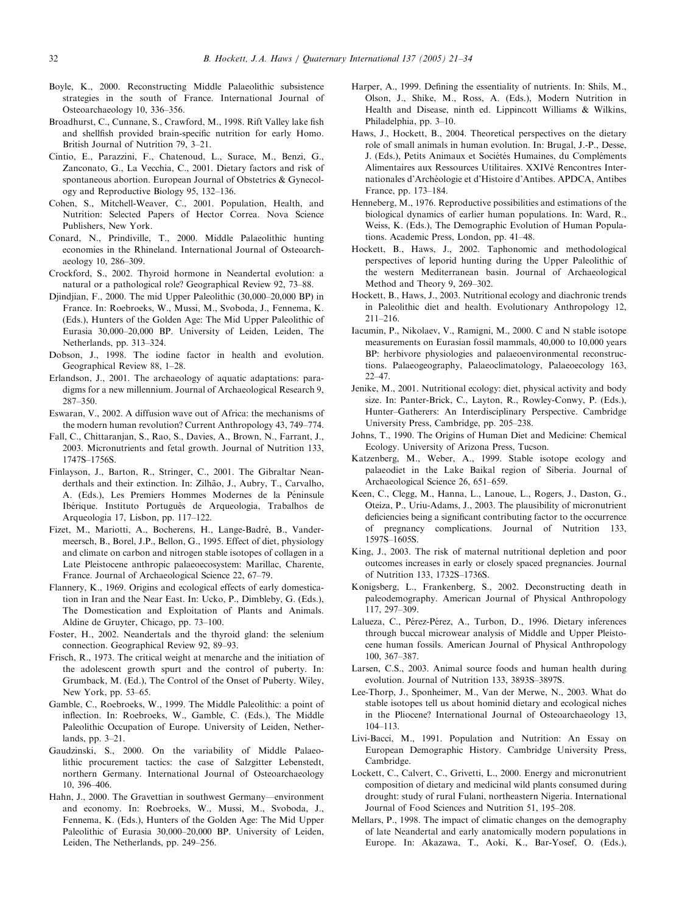- <span id="page-11-0"></span>Boyle, K., 2000. Reconstructing Middle Palaeolithic subsistence strategies in the south of France. International Journal of Osteoarchaeology 10, 336–356.
- Broadhurst, C., Cunnane, S., Crawford, M., 1998. Rift Valley lake fish and shellfish provided brain-specific nutrition for early Homo. British Journal of Nutrition 79, 3–21.
- Cintio, E., Parazzini, F., Chatenoud, L., Surace, M., Benzi, G., Zanconato, G., La Vecchia, C., 2001. Dietary factors and risk of spontaneous abortion. European Journal of Obstetrics & Gynecology and Reproductive Biology 95, 132–136.
- Cohen, S., Mitchell-Weaver, C., 2001. Population, Health, and Nutrition: Selected Papers of Hector Correa. Nova Science Publishers, New York.
- Conard, N., Prindiville, T., 2000. Middle Palaeolithic hunting economies in the Rhineland. International Journal of Osteoarchaeology 10, 286–309.
- Crockford, S., 2002. Thyroid hormone in Neandertal evolution: a natural or a pathological role? Geographical Review 92, 73–88.
- Djindjian, F., 2000. The mid Upper Paleolithic (30,000–20,000 BP) in France. In: Roebroeks, W., Mussi, M., Svoboda, J., Fennema, K. (Eds.), Hunters of the Golden Age: The Mid Upper Paleolithic of Eurasia 30,000–20,000 BP. University of Leiden, Leiden, The Netherlands, pp. 313–324.
- Dobson, J., 1998. The iodine factor in health and evolution. Geographical Review 88, 1–28.
- Erlandson, J., 2001. The archaeology of aquatic adaptations: paradigms for a new millennium. Journal of Archaeological Research 9, 287–350.
- Eswaran, V., 2002. A diffusion wave out of Africa: the mechanisms of the modern human revolution? Current Anthropology 43, 749–774.
- Fall, C., Chittaranjan, S., Rao, S., Davies, A., Brown, N., Farrant, J., 2003. Micronutrients and fetal growth. Journal of Nutrition 133, 1747S–1756S.
- Finlayson, J., Barton, R., Stringer, C., 2001. The Gibraltar Neanderthals and their extinction. In: Zilhão, J., Aubry, T., Carvalho, A. (Eds.), Les Premiers Hommes Modernes de la Péninsule Ibérique. Instituto Português de Arqueologia, Trabalhos de Arqueologia 17, Lisbon, pp. 117–122.
- Fizet, M., Mariotti, A., Bocherens, H., Lange-Badré, B., Vandermeersch, B., Borel, J.P., Bellon, G., 1995. Effect of diet, physiology and climate on carbon and nitrogen stable isotopes of collagen in a Late Pleistocene anthropic palaeoecosystem: Marillac, Charente, France. Journal of Archaeological Science 22, 67–79.
- Flannery, K., 1969. Origins and ecological effects of early domestication in Iran and the Near East. In: Ucko, P., Dimbleby, G. (Eds.), The Domestication and Exploitation of Plants and Animals. Aldine de Gruyter, Chicago, pp. 73–100.
- Foster, H., 2002. Neandertals and the thyroid gland: the selenium connection. Geographical Review 92, 89–93.
- Frisch, R., 1973. The critical weight at menarche and the initiation of the adolescent growth spurt and the control of puberty. In: Grumback, M. (Ed.), The Control of the Onset of Puberty. Wiley, New York, pp. 53–65.
- Gamble, C., Roebroeks, W., 1999. The Middle Paleolithic: a point of inflection. In: Roebroeks, W., Gamble, C. (Eds.), The Middle Paleolithic Occupation of Europe. University of Leiden, Netherlands, pp. 3–21.
- Gaudzinski, S., 2000. On the variability of Middle Palaeolithic procurement tactics: the case of Salzgitter Lebenstedt, northern Germany. International Journal of Osteoarchaeology 10, 396–406.
- Hahn, J., 2000. The Gravettian in southwest Germany—environment and economy. In: Roebroeks, W., Mussi, M., Svoboda, J., Fennema, K. (Eds.), Hunters of the Golden Age: The Mid Upper Paleolithic of Eurasia 30,000–20,000 BP. University of Leiden, Leiden, The Netherlands, pp. 249–256.
- Harper, A., 1999. Defining the essentiality of nutrients. In: Shils, M., Olson, J., Shike, M., Ross, A. (Eds.), Modern Nutrition in Health and Disease, ninth ed. Lippincott Williams & Wilkins, Philadelphia, pp. 3–10.
- Haws, J., Hockett, B., 2004. Theoretical perspectives on the dietary role of small animals in human evolution. In: Brugal, J.-P., Desse, J. (Eds.), Petits Animaux et Sociétés Humaines, du Compléments Alimentaires aux Ressources Utilitaires. XXIVé Rencontres Internationales d'Archéologie et d'Histoire d'Antibes. APDCA, Antibes France, pp. 173–184.
- Henneberg, M., 1976. Reproductive possibilities and estimations of the biological dynamics of earlier human populations. In: Ward, R., Weiss, K. (Eds.), The Demographic Evolution of Human Populations. Academic Press, London, pp. 41–48.
- Hockett, B., Haws, J., 2002. Taphonomic and methodological perspectives of leporid hunting during the Upper Paleolithic of the western Mediterranean basin. Journal of Archaeological Method and Theory 9, 269–302.
- Hockett, B., Haws, J., 2003. Nutritional ecology and diachronic trends in Paleolithic diet and health. Evolutionary Anthropology 12, 211–216.
- Iacumin, P., Nikolaev, V., Ramigni, M., 2000. C and N stable isotope measurements on Eurasian fossil mammals, 40,000 to 10,000 years BP: herbivore physiologies and palaeoenvironmental reconstructions. Palaeogeography, Palaeoclimatology, Palaeoecology 163, 22–47.
- Jenike, M., 2001. Nutritional ecology: diet, physical activity and body size. In: Panter-Brick, C., Layton, R., Rowley-Conwy, P. (Eds.), Hunter–Gatherers: An Interdisciplinary Perspective. Cambridge University Press, Cambridge, pp. 205–238.
- Johns, T., 1990. The Origins of Human Diet and Medicine: Chemical Ecology. University of Arizona Press, Tucson.
- Katzenberg, M., Weber, A., 1999. Stable isotope ecology and palaeodiet in the Lake Baikal region of Siberia. Journal of Archaeological Science 26, 651–659.
- Keen, C., Clegg, M., Hanna, L., Lanoue, L., Rogers, J., Daston, G., Oteiza, P., Uriu-Adams, J., 2003. The plausibility of micronutrient deficiencies being a significant contributing factor to the occurrence of pregnancy complications. Journal of Nutrition 133, 1597S–1605S.
- King, J., 2003. The risk of maternal nutritional depletion and poor outcomes increases in early or closely spaced pregnancies. Journal of Nutrition 133, 1732S–1736S.
- Konigsberg, L., Frankenberg, S., 2002. Deconstructing death in paleodemography. American Journal of Physical Anthropology 117, 297–309.
- Lalueza, C., Pérez-Pérez, A., Turbon, D., 1996. Dietary inferences through buccal microwear analysis of Middle and Upper Pleistocene human fossils. American Journal of Physical Anthropology 100, 367–387.
- Larsen, C.S., 2003. Animal source foods and human health during evolution. Journal of Nutrition 133, 3893S–3897S.
- Lee-Thorp, J., Sponheimer, M., Van der Merwe, N., 2003. What do stable isotopes tell us about hominid dietary and ecological niches in the Pliocene? International Journal of Osteoarchaeology 13, 104–113.
- Livi-Bacci, M., 1991. Population and Nutrition: An Essay on European Demographic History. Cambridge University Press, Cambridge.
- Lockett, C., Calvert, C., Grivetti, L., 2000. Energy and micronutrient composition of dietary and medicinal wild plants consumed during drought: study of rural Fulani, northeastern Nigeria. International Journal of Food Sciences and Nutrition 51, 195–208.
- Mellars, P., 1998. The impact of climatic changes on the demography of late Neandertal and early anatomically modern populations in Europe. In: Akazawa, T., Aoki, K., Bar-Yosef, O. (Eds.),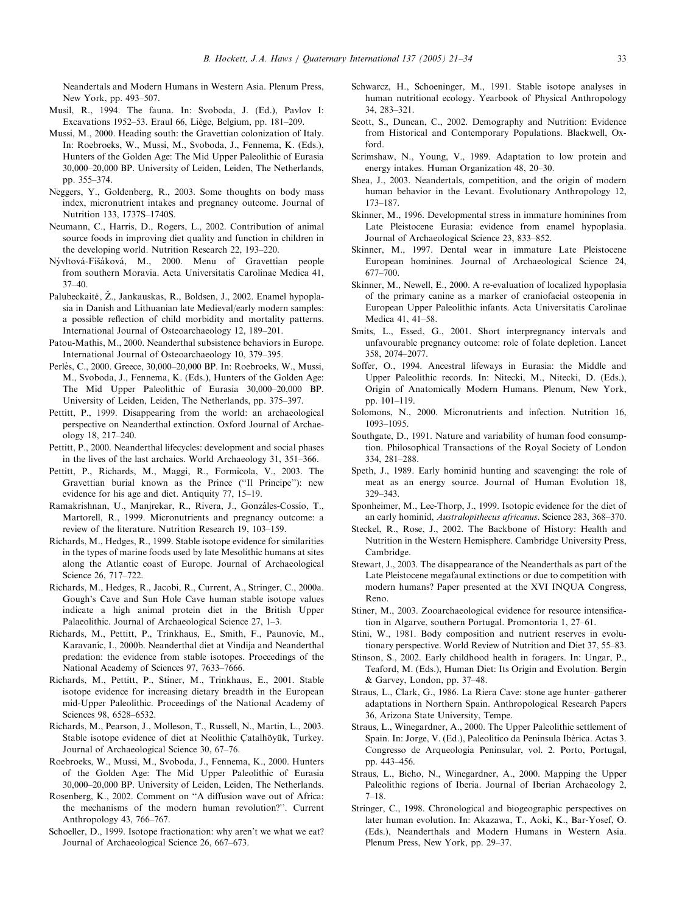<span id="page-12-0"></span>Neandertals and Modern Humans in Western Asia. Plenum Press, New York, pp. 493–507.

- Musil, R., 1994. The fauna. In: Svoboda, J. (Ed.), Pavlov I: Excavations 1952–53. Eraul 66, Liège, Belgium, pp.  $181-209$ .
- Mussi, M., 2000. Heading south: the Gravettian colonization of Italy. In: Roebroeks, W., Mussi, M., Svoboda, J., Fennema, K. (Eds.), Hunters of the Golden Age: The Mid Upper Paleolithic of Eurasia 30,000–20,000 BP. University of Leiden, Leiden, The Netherlands, pp. 355–374.
- Neggers, Y., Goldenberg, R., 2003. Some thoughts on body mass index, micronutrient intakes and pregnancy outcome. Journal of Nutrition 133, 1737S–1740S.
- Neumann, C., Harris, D., Rogers, L., 2002. Contribution of animal source foods in improving diet quality and function in children in the developing world. Nutrition Research 22, 193–220.
- Nývltová-Fišáková, M., 2000. Menu of Gravettian people from southern Moravia. Acta Universitatis Carolinae Medica 41, 37–40.
- Palubeckaitė, Ž., Jankauskas, R., Boldsen, J., 2002. Enamel hypoplasia in Danish and Lithuanian late Medieval/early modern samples: a possible reflection of child morbidity and mortality patterns. International Journal of Osteoarchaeology 12, 189–201.
- Patou-Mathis, M., 2000. Neanderthal subsistence behaviors in Europe. International Journal of Osteoarchaeology 10, 379–395.
- Perlès, C., 2000. Greece, 30,000-20,000 BP. In: Roebroeks, W., Mussi, M., Svoboda, J., Fennema, K. (Eds.), Hunters of the Golden Age: The Mid Upper Paleolithic of Eurasia 30,000–20,000 BP. University of Leiden, Leiden, The Netherlands, pp. 375–397.
- Pettitt, P., 1999. Disappearing from the world: an archaeological perspective on Neanderthal extinction. Oxford Journal of Archaeology 18, 217–240.
- Pettitt, P., 2000. Neanderthal lifecycles: development and social phases in the lives of the last archaics. World Archaeology 31, 351–366.
- Pettitt, P., Richards, M., Maggi, R., Formicola, V., 2003. The Gravettian burial known as the Prince (''Il Principe''): new evidence for his age and diet. Antiquity 77, 15–19.
- Ramakrishnan, U., Manjrekar, R., Rivera, J., Gonzáles-Cossío, T., Martorell, R., 1999. Micronutrients and pregnancy outcome: a review of the literature. Nutrition Research 19, 103–159.
- Richards, M., Hedges, R., 1999. Stable isotope evidence for similarities in the types of marine foods used by late Mesolithic humans at sites along the Atlantic coast of Europe. Journal of Archaeological Science 26, 717–722.
- Richards, M., Hedges, R., Jacobi, R., Current, A., Stringer, C., 2000a. Gough's Cave and Sun Hole Cave human stable isotope values indicate a high animal protein diet in the British Upper Palaeolithic. Journal of Archaeological Science 27, 1–3.
- Richards, M., Pettitt, P., Trinkhaus, E., Smith, F., Paunovic, M., Karavaníc, I., 2000b. Neanderthal diet at Vindija and Neanderthal predation: the evidence from stable isotopes. Proceedings of the National Academy of Sciences 97, 7633–7666.
- Richards, M., Pettitt, P., Stiner, M., Trinkhaus, E., 2001. Stable isotope evidence for increasing dietary breadth in the European mid-Upper Paleolithic. Proceedings of the National Academy of Sciences 98, 6528–6532.
- Richards, M., Pearson, J., Molleson, T., Russell, N., Martin, L., 2003. Stable isotope evidence of diet at Neolithic Catalhöyük, Turkey. Journal of Archaeological Science 30, 67–76.
- Roebroeks, W., Mussi, M., Svoboda, J., Fennema, K., 2000. Hunters of the Golden Age: The Mid Upper Paleolithic of Eurasia 30,000–20,000 BP. University of Leiden, Leiden, The Netherlands.
- Rosenberg, K., 2002. Comment on ''A diffusion wave out of Africa: the mechanisms of the modern human revolution?''. Current Anthropology 43, 766–767.
- Schoeller, D., 1999. Isotope fractionation: why aren't we what we eat? Journal of Archaeological Science 26, 667–673.
- Schwarcz, H., Schoeninger, M., 1991. Stable isotope analyses in human nutritional ecology. Yearbook of Physical Anthropology 34, 283–321.
- Scott, S., Duncan, C., 2002. Demography and Nutrition: Evidence from Historical and Contemporary Populations. Blackwell, Oxford.
- Scrimshaw, N., Young, V., 1989. Adaptation to low protein and energy intakes. Human Organization 48, 20–30.
- Shea, J., 2003. Neandertals, competition, and the origin of modern human behavior in the Levant. Evolutionary Anthropology 12, 173–187.
- Skinner, M., 1996. Developmental stress in immature hominines from Late Pleistocene Eurasia: evidence from enamel hypoplasia. Journal of Archaeological Science 23, 833–852.
- Skinner, M., 1997. Dental wear in immature Late Pleistocene European hominines. Journal of Archaeological Science 24, 677–700.
- Skinner, M., Newell, E., 2000. A re-evaluation of localized hypoplasia of the primary canine as a marker of craniofacial osteopenia in European Upper Paleolithic infants. Acta Universitatis Carolinae Medica 41, 41–58.
- Smits, L., Essed, G., 2001. Short interpregnancy intervals and unfavourable pregnancy outcome: role of folate depletion. Lancet 358, 2074–2077.
- Soffer, O., 1994. Ancestral lifeways in Eurasia: the Middle and Upper Paleolithic records. In: Nitecki, M., Nitecki, D. (Eds.), Origin of Anatomically Modern Humans. Plenum, New York, pp. 101–119.
- Solomons, N., 2000. Micronutrients and infection. Nutrition 16, 1093–1095.
- Southgate, D., 1991. Nature and variability of human food consumption. Philosophical Transactions of the Royal Society of London 334, 281–288.
- Speth, J., 1989. Early hominid hunting and scavenging: the role of meat as an energy source. Journal of Human Evolution 18, 329–343.
- Sponheimer, M., Lee-Thorp, J., 1999. Isotopic evidence for the diet of an early hominid, Australopithecus africanus. Science 283, 368–370.
- Steckel, R., Rose, J., 2002. The Backbone of History: Health and Nutrition in the Western Hemisphere. Cambridge University Press, Cambridge.
- Stewart, J., 2003. The disappearance of the Neanderthals as part of the Late Pleistocene megafaunal extinctions or due to competition with modern humans? Paper presented at the XVI INQUA Congress, Reno.
- Stiner, M., 2003. Zooarchaeological evidence for resource intensification in Algarve, southern Portugal. Promontoria 1, 27–61.
- Stini, W., 1981. Body composition and nutrient reserves in evolutionary perspective. World Review of Nutrition and Diet 37, 55–83.
- Stinson, S., 2002. Early childhood health in foragers. In: Ungar, P., Teaford, M. (Eds.), Human Diet: Its Origin and Evolution. Bergin & Garvey, London, pp. 37–48.
- Straus, L., Clark, G., 1986. La Riera Cave: stone age hunter–gatherer adaptations in Northern Spain. Anthropological Research Papers 36, Arizona State University, Tempe.
- Straus, L., Winegardner, A., 2000. The Upper Paleolithic settlement of Spain. In: Jorge, V. (Ed.), Paleolítico da Península Ibérica. Actas 3. Congresso de Arqueologia Peninsular, vol. 2. Porto, Portugal, pp. 443–456.
- Straus, L., Bicho, N., Winegardner, A., 2000. Mapping the Upper Paleolithic regions of Iberia. Journal of Iberian Archaeology 2, 7–18.
- Stringer, C., 1998. Chronological and biogeographic perspectives on later human evolution. In: Akazawa, T., Aoki, K., Bar-Yosef, O. (Eds.), Neanderthals and Modern Humans in Western Asia. Plenum Press, New York, pp. 29–37.